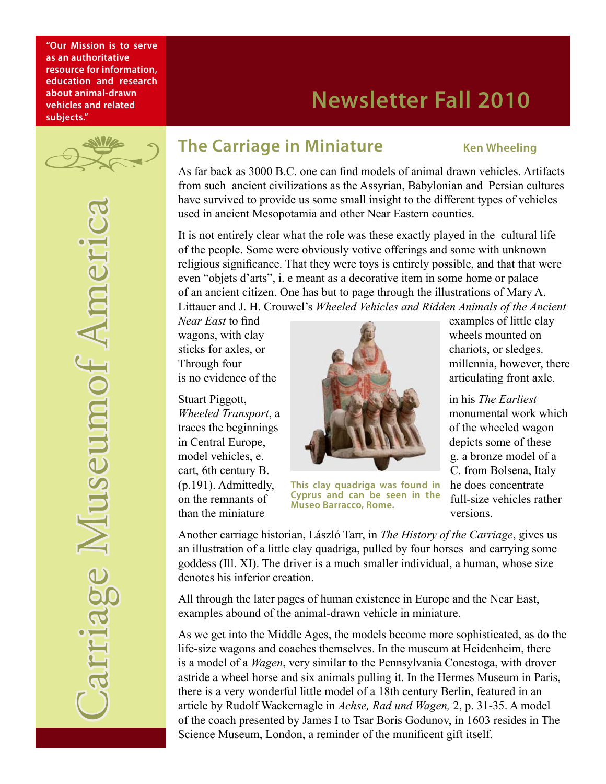**"Our Mission is to serve as an authoritative resource for information, education and research about animal-drawn vehicles and related subjects."**

# **Newsletter Fall 2010**

# **The Carriage in Miniature** Ken Wheeling

As far back as 3000 B.C. one can find models of animal drawn vehicles. Artifacts from such ancient civilizations as the Assyrian, Babylonian and Persian cultures have survived to provide us some small insight to the different types of vehicles used in ancient Mesopotamia and other Near Eastern counties.

It is not entirely clear what the role was these exactly played in the cultural life of the people. Some were obviously votive offerings and some with unknown religious significance. That they were toys is entirely possible, and that that were even "objets d'arts", i. e meant as a decorative item in some home or palace of an ancient citizen. One has but to page through the illustrations of Mary A. Littauer and J. H. Crouwel's *Wheeled Vehicles and Ridden Animals of the Ancient* 

than the miniature versions.

wagons, with clay wheels mounted on sticks for axles, or chariots, or sledges. Through four millennia, however, there is no evidence of the  $\mathbb{R}$  articulating front axle. Stuart Piggott, **in his** *The Earliest* **in his** *The Earliest Wheeled Transport*, a **monumental work which** monumental work which traces the beginnings of the wheeled wagon in Central Europe, **depicts** some of these depicts some of these

(p.191). Admittedly, This clay quadriga was found in also does concentrate on the remnants of **Cyprus** and can be seen in the full-size vehicles rather **Cyprus and can be seen in the Museo Barracco, Rome.**

*Near East* to find examples of little clay

model vehicles, e. g. a bronze model of a cart, 6th century B. C. from Bolsena, Italy

Another carriage historian, László Tarr, in *The History of the Carriage*, gives us an illustration of a little clay quadriga, pulled by four horses and carrying some goddess (Ill. XI). The driver is a much smaller individual, a human, whose size denotes his inferior creation.

All through the later pages of human existence in Europe and the Near East, examples abound of the animal-drawn vehicle in miniature.

As we get into the Middle Ages, the models become more sophisticated, as do the life-size wagons and coaches themselves. In the museum at Heidenheim, there is a model of a *Wagen*, very similar to the Pennsylvania Conestoga, with drover astride a wheel horse and six animals pulling it. In the Hermes Museum in Paris, there is a very wonderful little model of a 18th century Berlin, featured in an article by Rudolf Wackernagle in *Achse, Rad und Wagen,* 2, p. 31-35. A model of the coach presented by James I to Tsar Boris Godunov, in 1603 resides in The Science Museum, London, a reminder of the munificent gift itself.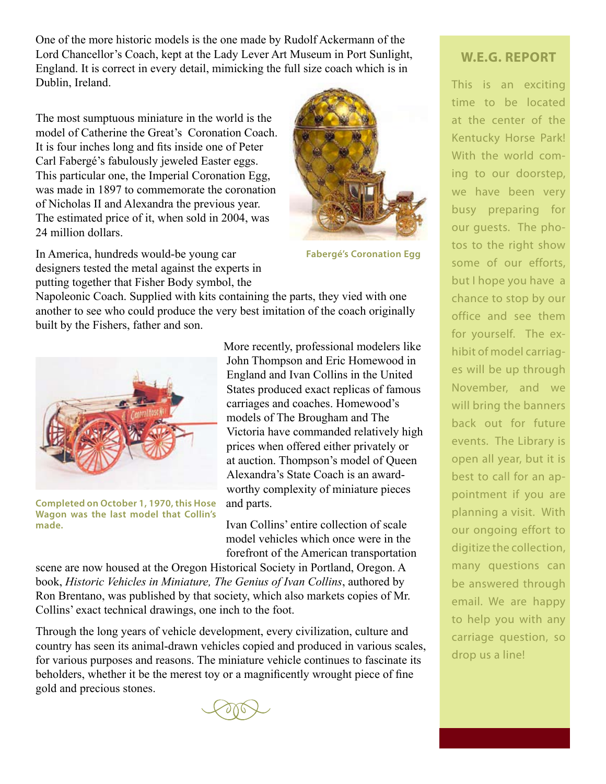One of the more historic models is the one made by Rudolf Ackermann of the Lord Chancellor's Coach, kept at the Lady Lever Art Museum in Port Sunlight, England. It is correct in every detail, mimicking the full size coach which is in Dublin, Ireland.

The most sumptuous miniature in the world is the model of Catherine the Great's Coronation Coach. It is four inches long and fits inside one of Peter Carl Fabergé's fabulously jeweled Easter eggs. This particular one, the Imperial Coronation Egg, was made in 1897 to commemorate the coronation of Nicholas II and Alexandra the previous year. The estimated price of it, when sold in 2004, was 24 million dollars.





**Fabergé's Coronation Egg**

Napoleonic Coach. Supplied with kits containing the parts, they vied with one another to see who could produce the very best imitation of the coach originally built by the Fishers, father and son.



**Completed on October 1, 1970, this Hose Wagon was the last model that Collin's made.**

More recently, professional modelers like John Thompson and Eric Homewood in England and Ivan Collins in the United States produced exact replicas of famous carriages and coaches. Homewood's models of The Brougham and The Victoria have commanded relatively high prices when offered either privately or at auction. Thompson's model of Queen Alexandra's State Coach is an awardworthy complexity of miniature pieces and parts.

Ivan Collins' entire collection of scale model vehicles which once were in the forefront of the American transportation

scene are now housed at the Oregon Historical Society in Portland, Oregon. A book, *Historic Vehicles in Miniature, The Genius of Ivan Collins*, authored by Ron Brentano, was published by that society, which also markets copies of Mr. Collins' exact technical drawings, one inch to the foot.

Through the long years of vehicle development, every civilization, culture and country has seen its animal-drawn vehicles copied and produced in various scales, for various purposes and reasons. The miniature vehicle continues to fascinate its beholders, whether it be the merest toy or a magnificently wrought piece of fine gold and precious stones.

### **W.E.G. REPORT**

This is an exciting time to be located at the center of the Kentucky Horse Park! With the world coming to our doorstep, we have been very busy preparing for our guests. The photos to the right show some of our efforts, but I hope you have a chance to stop by our office and see them for yourself. The exhibit of model carriages will be up through November, and we will bring the banners back out for future events. The Library is open all year, but it is best to call for an appointment if you are planning a visit. With our ongoing effort to digitize the collection, many questions can be answered through email. We are happy to help you with any carriage question, so drop us a line!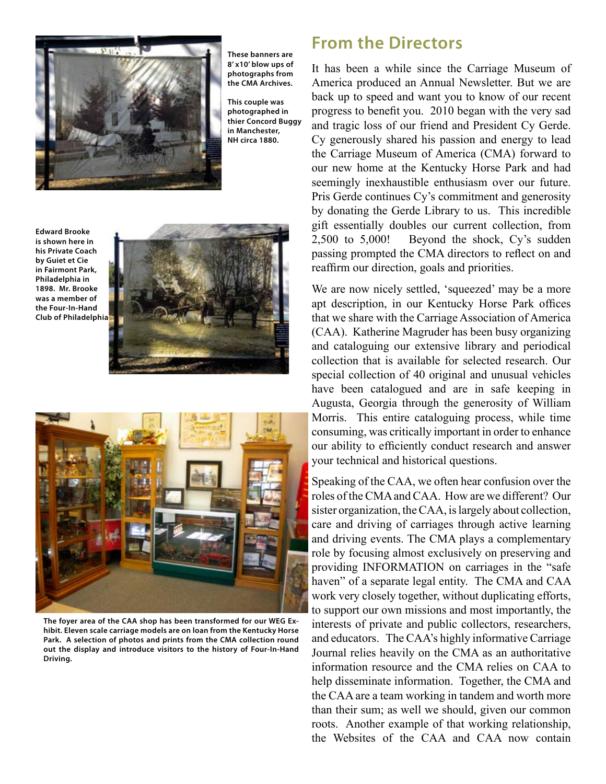

**These banners are 8' x10' blow ups of photographs from the CMA Archives.**

**This couple was photographed in thier Concord Buggy in Manchester, NH circa 1880.**

**Edward Brooke is shown here in his Private Coach by Guiet et Cie in Fairmont Park, Philadelphia in 1898. Mr. Brooke was a member of the Four-In-Hand Club of Philadelphia**





**The foyer area of the CAA shop has been transformed for our WEG Exhibit. Eleven scale carriage models are on loan from the Kentucky Horse Park. A selection of photos and prints from the CMA collection round out the display and introduce visitors to the history of Four-In-Hand Driving.** 

# **From the Directors**

It has been a while since the Carriage Museum of America produced an Annual Newsletter. But we are back up to speed and want you to know of our recent progress to benefit you. 2010 began with the very sad and tragic loss of our friend and President Cy Gerde. Cy generously shared his passion and energy to lead the Carriage Museum of America (CMA) forward to our new home at the Kentucky Horse Park and had seemingly inexhaustible enthusiasm over our future. Pris Gerde continues Cy's commitment and generosity by donating the Gerde Library to us. This incredible gift essentially doubles our current collection, from 2,500 to 5,000! Beyond the shock, Cy's sudden passing prompted the CMA directors to reflect on and reaffirm our direction, goals and priorities.

We are now nicely settled, 'squeezed' may be a more apt description, in our Kentucky Horse Park offices that we share with the Carriage Association of America (CAA). Katherine Magruder has been busy organizing and cataloguing our extensive library and periodical collection that is available for selected research. Our special collection of 40 original and unusual vehicles have been catalogued and are in safe keeping in Augusta, Georgia through the generosity of William Morris. This entire cataloguing process, while time consuming, was critically important in order to enhance our ability to efficiently conduct research and answer your technical and historical questions.

Speaking of the CAA, we often hear confusion over the roles of the CMA and CAA. How are we different? Our sister organization, the CAA, is largely about collection, care and driving of carriages through active learning and driving events. The CMA plays a complementary role by focusing almost exclusively on preserving and providing INFORMATION on carriages in the "safe haven" of a separate legal entity. The CMA and CAA work very closely together, without duplicating efforts, to support our own missions and most importantly, the interests of private and public collectors, researchers, and educators. The CAA's highly informative Carriage Journal relies heavily on the CMA as an authoritative information resource and the CMA relies on CAA to help disseminate information. Together, the CMA and the CAA are a team working in tandem and worth more than their sum; as well we should, given our common roots. Another example of that working relationship, the Websites of the CAA and CAA now contain